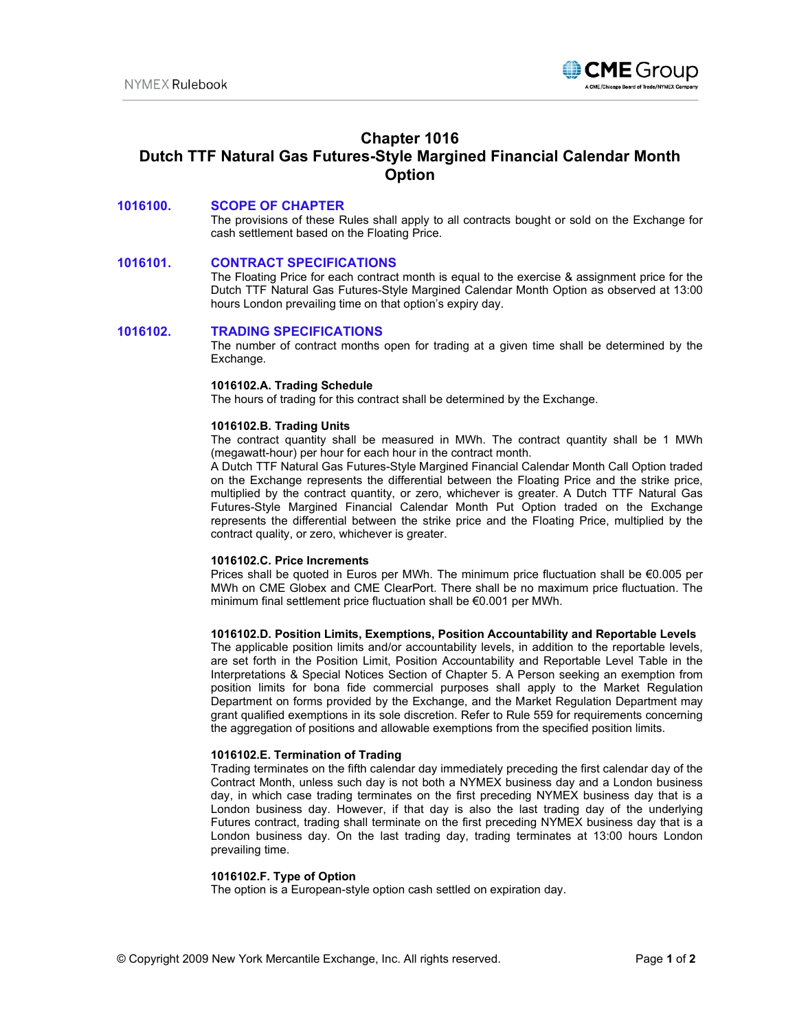

# **Chapter 1016 Dutch TTF Natural Gas Futures-Style Margined Financial Calendar Month Option**

## **1016100. SCOPE OF CHAPTER**

The provisions of these Rules shall apply to all contracts bought or sold on the Exchange for cash settlement based on the Floating Price.

#### **1016101. CONTRACT SPECIFICATIONS**

The Floating Price for each contract month is equal to the exercise & assignment price for the Dutch TTF Natural Gas Futures-Style Margined Calendar Month Option as observed at 13:00 hours London prevailing time on that option's expiry day.

#### **1016102. TRADING SPECIFICATIONS**

The number of contract months open for trading at a given time shall be determined by the Exchange.

#### **1016102.A. Trading Schedule**

The hours of trading for this contract shall be determined by the Exchange.

#### **1016102.B. Trading Units**

The contract quantity shall be measured in MWh. The contract quantity shall be 1 MWh (megawatt-hour) per hour for each hour in the contract month.

A Dutch TTF Natural Gas Futures-Style Margined Financial Calendar Month Call Option traded on the Exchange represents the differential between the Floating Price and the strike price, multiplied by the contract quantity, or zero, whichever is greater. A Dutch TTF Natural Gas Futures-Style Margined Financial Calendar Month Put Option traded on the Exchange represents the differential between the strike price and the Floating Price, multiplied by the contract quality, or zero, whichever is greater.

#### **1016102.C. Price Increments**

Prices shall be quoted in Euros per MWh. The minimum price fluctuation shall be €0.005 per MWh on CME Globex and CME ClearPort. There shall be no maximum price fluctuation. The minimum final settlement price fluctuation shall be €0.001 per MWh.

#### **1016102.D. Position Limits, Exemptions, Position Accountability and Reportable Levels**

The applicable position limits and/or accountability levels, in addition to the reportable levels, are set forth in the Position Limit, Position Accountability and Reportable Level Table in the Interpretations & Special Notices Section of Chapter 5. A Person seeking an exemption from position limits for bona fide commercial purposes shall apply to the Market Regulation Department on forms provided by the Exchange, and the Market Regulation Department may grant qualified exemptions in its sole discretion. Refer to Rule 559 for requirements concerning the aggregation of positions and allowable exemptions from the specified position limits.

### **1016102.E. Termination of Trading**

Trading terminates on the fifth calendar day immediately preceding the first calendar day of the Contract Month, unless such day is not both a NYMEX business day and a London business day, in which case trading terminates on the first preceding NYMEX business day that is a London business day. However, if that day is also the last trading day of the underlying Futures contract, trading shall terminate on the first preceding NYMEX business day that is a London business day. On the last trading day, trading terminates at 13:00 hours London prevailing time.

#### **1016102.F. Type of Option**

The option is a European-style option cash settled on expiration day.